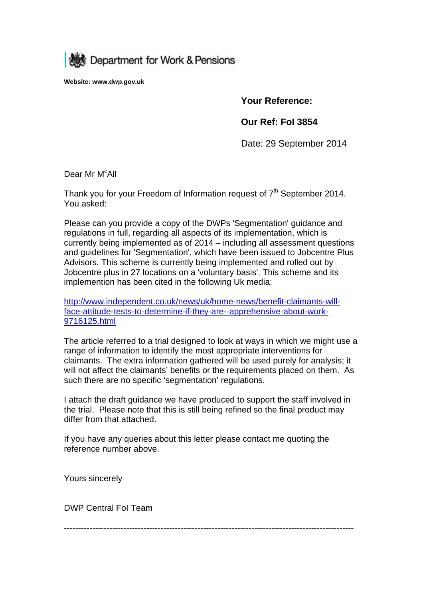

**Website: www.dwp.gov.uk** 

## **Your Reference:**

**Our Ref: FoI 3854** 

Date: 29 September 2014

Dear Mr M<sup>c</sup>All

Thank you for your Freedom of Information request of  $7<sup>th</sup>$  September 2014. You asked:

Please can you provide a copy of the DWPs 'Segmentation' guidance and regulations in full, regarding all aspects of its implementation, which is currently being implemented as of 2014 – including all assessment questions and guidelines for 'Segmentation', which have been issued to Jobcentre Plus Advisors. This scheme is currently being implemented and rolled out by Jobcentre plus in 27 locations on a 'voluntary basis'. This scheme and its implemention has been cited in the following Uk media:

http://www.independent.co.uk/news/uk/home-news/benefit-claimants-willface-attitude-tests-to-determine-if-they-are--apprehensive-about-work-9716125.html

The article referred to a trial designed to look at ways in which we might use a range of information to identify the most appropriate interventions for claimants. The extra information gathered will be used purely for analysis; it will not affect the claimants' benefits or the requirements placed on them. As such there are no specific 'segmentation' regulations.

I attach the draft guidance we have produced to support the staff involved in the trial. Please note that this is still being refined so the final product may differ from that attached.

If you have any queries about this letter please contact me quoting the reference number above.

Yours sincerely

DWP Central FoI Team

------------------------------------------------------------------------------------------------------